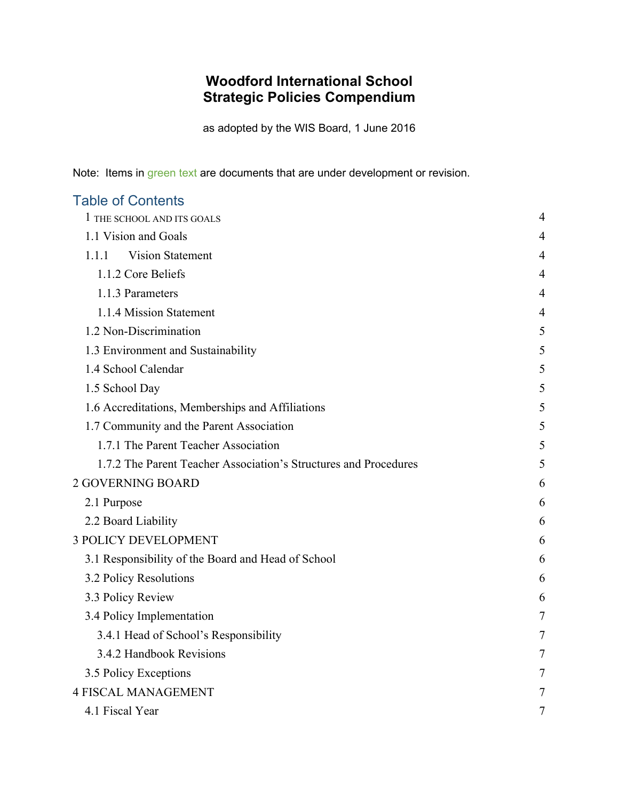# **Woodford International School Strategic Policies Compendium**

as adopted by the WIS Board, 1 June 2016

Note: Items in green text are documents that are under development or revision.

| <b>Table of Contents</b>                                         |   |
|------------------------------------------------------------------|---|
| 1 THE SCHOOL AND ITS GOALS                                       | 4 |
| 1.1 Vision and Goals                                             | 4 |
| <b>Vision Statement</b><br>1.1.1                                 | 4 |
| 1.1.2 Core Beliefs                                               | 4 |
| 1.1.3 Parameters                                                 | 4 |
| 1.1.4 Mission Statement                                          | 4 |
| 1.2 Non-Discrimination                                           | 5 |
| 1.3 Environment and Sustainability                               | 5 |
| 1.4 School Calendar                                              | 5 |
| 1.5 School Day                                                   | 5 |
| 1.6 Accreditations, Memberships and Affiliations                 | 5 |
| 1.7 Community and the Parent Association                         | 5 |
| 1.7.1 The Parent Teacher Association                             | 5 |
| 1.7.2 The Parent Teacher Association's Structures and Procedures | 5 |
| 2 GOVERNING BOARD                                                | 6 |
| 2.1 Purpose                                                      | 6 |
| 2.2 Board Liability                                              | 6 |
| <b>3 POLICY DEVELOPMENT</b>                                      | 6 |
| 3.1 Responsibility of the Board and Head of School               | 6 |
| 3.2 Policy Resolutions                                           | 6 |
| 3.3 Policy Review                                                | 6 |
| 3.4 Policy Implementation                                        | 7 |
| 3.4.1 Head of School's Responsibility                            | 7 |
| 3.4.2 Handbook Revisions                                         | 7 |
| 3.5 Policy Exceptions                                            | 7 |
| <b>4 FISCAL MANAGEMENT</b>                                       | 7 |
| 4.1 Fiscal Year                                                  | 7 |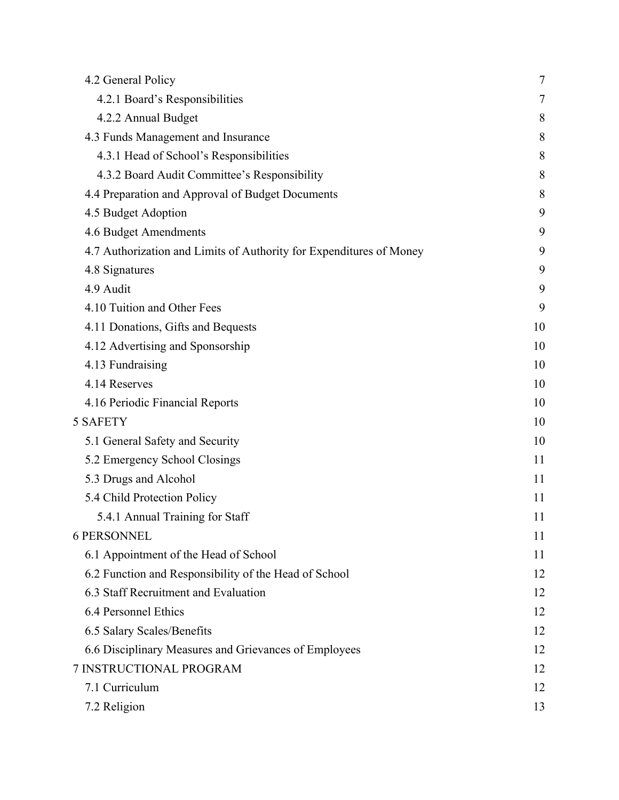| 4.2 General Policy                                                  | 7  |
|---------------------------------------------------------------------|----|
| 4.2.1 Board's Responsibilities                                      | 7  |
| 4.2.2 Annual Budget                                                 | 8  |
| 4.3 Funds Management and Insurance                                  | 8  |
| 4.3.1 Head of School's Responsibilities                             | 8  |
| 4.3.2 Board Audit Committee's Responsibility                        | 8  |
| 4.4 Preparation and Approval of Budget Documents                    | 8  |
| 4.5 Budget Adoption                                                 | 9  |
| 4.6 Budget Amendments                                               | 9  |
| 4.7 Authorization and Limits of Authority for Expenditures of Money | 9  |
| 4.8 Signatures                                                      | 9  |
| 4.9 Audit                                                           | 9  |
| 4.10 Tuition and Other Fees                                         | 9  |
| 4.11 Donations, Gifts and Bequests                                  | 10 |
| 4.12 Advertising and Sponsorship                                    | 10 |
| 4.13 Fundraising                                                    | 10 |
| 4.14 Reserves                                                       | 10 |
| 4.16 Periodic Financial Reports                                     | 10 |
| <b>5 SAFETY</b>                                                     | 10 |
| 5.1 General Safety and Security                                     | 10 |
| 5.2 Emergency School Closings                                       | 11 |
| 5.3 Drugs and Alcohol                                               | 11 |
| 5.4 Child Protection Policy                                         | 11 |
| 5.4.1 Annual Training for Staff                                     | 11 |
| <b>6 PERSONNEL</b>                                                  | 11 |
| 6.1 Appointment of the Head of School                               | 11 |
| 6.2 Function and Responsibility of the Head of School               | 12 |
| 6.3 Staff Recruitment and Evaluation                                | 12 |
| 6.4 Personnel Ethics                                                | 12 |
| 6.5 Salary Scales/Benefits                                          | 12 |
| 6.6 Disciplinary Measures and Grievances of Employees               | 12 |
| 7 INSTRUCTIONAL PROGRAM                                             | 12 |
| 7.1 Curriculum                                                      | 12 |
| 7.2 Religion                                                        | 13 |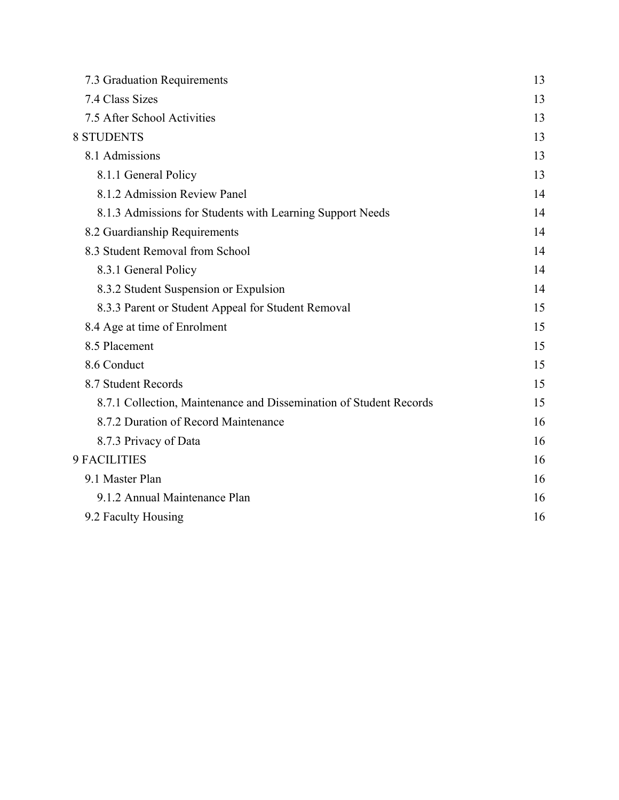| 7.3 Graduation Requirements                                        | 13 |
|--------------------------------------------------------------------|----|
| 7.4 Class Sizes                                                    | 13 |
| 7.5 After School Activities                                        | 13 |
| <b>8 STUDENTS</b>                                                  | 13 |
| 8.1 Admissions                                                     | 13 |
| 8.1.1 General Policy                                               | 13 |
| 8.1.2 Admission Review Panel                                       | 14 |
| 8.1.3 Admissions for Students with Learning Support Needs          | 14 |
| 8.2 Guardianship Requirements                                      | 14 |
| 8.3 Student Removal from School                                    | 14 |
| 8.3.1 General Policy                                               | 14 |
| 8.3.2 Student Suspension or Expulsion                              | 14 |
| 8.3.3 Parent or Student Appeal for Student Removal                 | 15 |
| 8.4 Age at time of Enrolment                                       | 15 |
| 8.5 Placement                                                      | 15 |
| 8.6 Conduct                                                        | 15 |
| 8.7 Student Records                                                | 15 |
| 8.7.1 Collection, Maintenance and Dissemination of Student Records | 15 |
| 8.7.2 Duration of Record Maintenance                               | 16 |
| 8.7.3 Privacy of Data                                              | 16 |
| 9 FACILITIES                                                       | 16 |
| 9.1 Master Plan                                                    | 16 |
| 9.1.2 Annual Maintenance Plan                                      | 16 |
| 9.2 Faculty Housing                                                | 16 |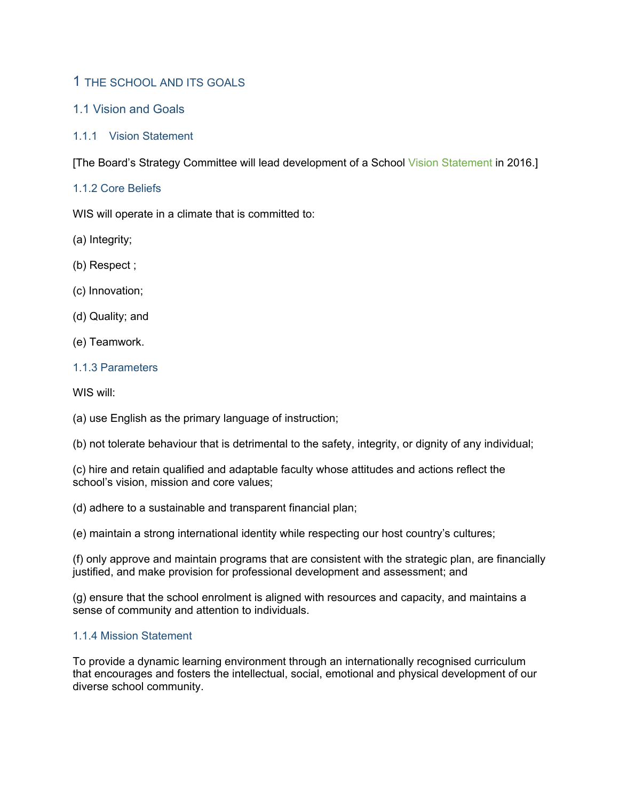# 1 THE SCHOOL AND ITS GOALS

# 1.1 Vision and Goals

# 1.1.1 Vision Statement

[The Board's Strategy Committee will lead development of a School Vision Statement in 2016.]

# 1.1.2 Core Beliefs

WIS will operate in a climate that is committed to:

(a) Integrity;

(b) Respect ;

(c) Innovation;

(d) Quality; and

(e) Teamwork.

### 1.1.3 Parameters

WIS will:

(a) use English as the primary language of instruction;

(b) not tolerate behaviour that is detrimental to the safety, integrity, or dignity of any individual;

(c) hire and retain qualified and adaptable faculty whose attitudes and actions reflect the school's vision, mission and core values;

(d) adhere to a sustainable and transparent financial plan;

(e) maintain a strong international identity while respecting our host country's cultures;

(f) only approve and maintain programs that are consistent with the strategic plan, are financially justified, and make provision for professional development and assessment; and

(g) ensure that the school enrolment is aligned with resources and capacity, and maintains a sense of community and attention to individuals.

#### 1.1.4 Mission Statement

To provide a dynamic learning environment through an internationally recognised curriculum that encourages and fosters the intellectual, social, emotional and physical development of our diverse school community.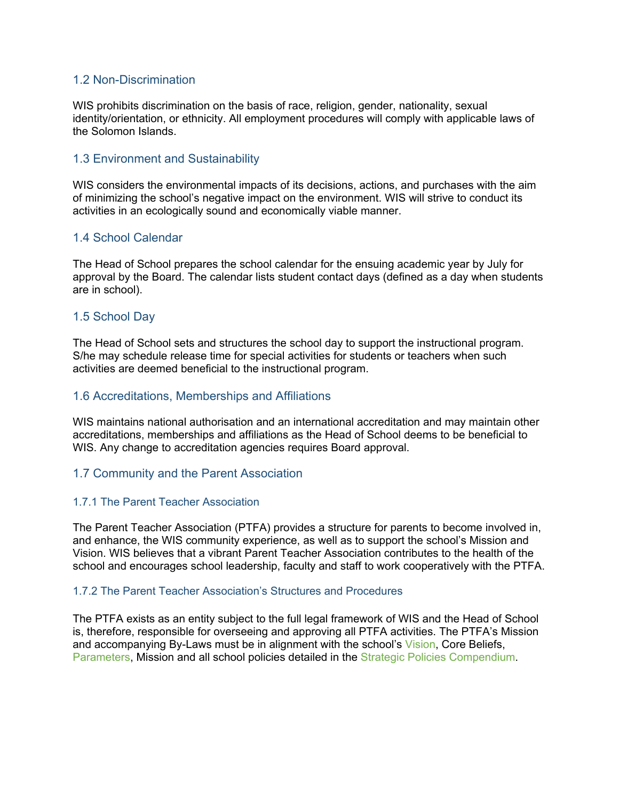### 1.2 Non-Discrimination

WIS prohibits discrimination on the basis of race, religion, gender, nationality, sexual identity/orientation, or ethnicity. All employment procedures will comply with applicable laws of the Solomon Islands.

# 1.3 Environment and Sustainability

WIS considers the environmental impacts of its decisions, actions, and purchases with the aim of minimizing the school's negative impact on the environment. WIS will strive to conduct its activities in an ecologically sound and economically viable manner.

# 1.4 School Calendar

The Head of School prepares the school calendar for the ensuing academic year by July for approval by the Board. The calendar lists student contact days (defined as a day when students are in school).

# 1.5 School Day

The Head of School sets and structures the school day to support the instructional program. S/he may schedule release time for special activities for students or teachers when such activities are deemed beneficial to the instructional program.

# 1.6 Accreditations, Memberships and Affiliations

WIS maintains national authorisation and an international accreditation and may maintain other accreditations, memberships and affiliations as the Head of School deems to be beneficial to WIS. Any change to accreditation agencies requires Board approval.

#### 1.7 Community and the Parent Association

#### 1.7.1 The Parent Teacher Association

The Parent Teacher Association (PTFA) provides a structure for parents to become involved in, and enhance, the WIS community experience, as well as to support the school's Mission and Vision. WIS believes that a vibrant Parent Teacher Association contributes to the health of the school and encourages school leadership, faculty and staff to work cooperatively with the PTFA.

#### 1.7.2 The Parent Teacher Association's Structures and Procedures

The PTFA exists as an entity subject to the full legal framework of WIS and the Head of School is, therefore, responsible for overseeing and approving all PTFA activities. The PTFA's Mission and accompanying By-Laws must be in alignment with the school's Vision, Core Beliefs, Parameters, Mission and all school policies detailed in the Strategic Policies Compendium.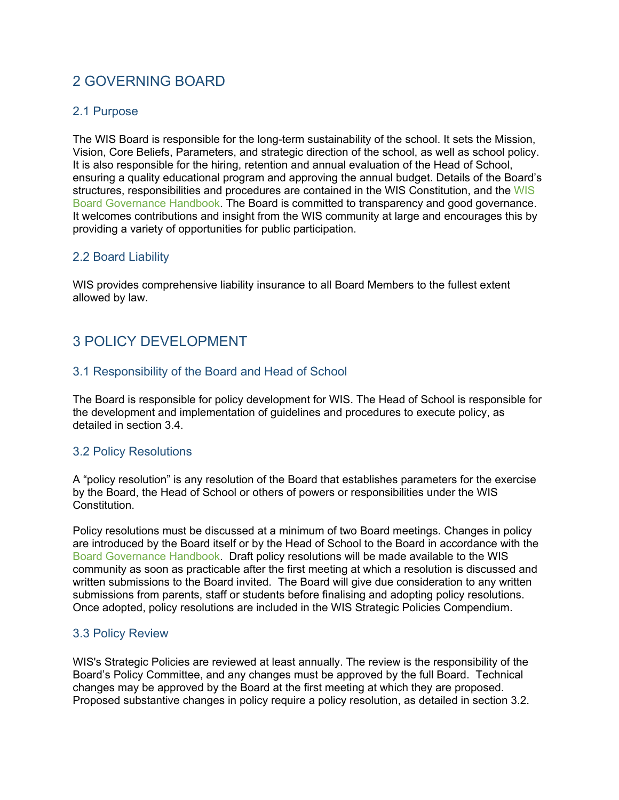# 2 GOVERNING BOARD

### 2.1 Purpose

The WIS Board is responsible for the long-term sustainability of the school. It sets the Mission, Vision, Core Beliefs, Parameters, and strategic direction of the school, as well as school policy. It is also responsible for the hiring, retention and annual evaluation of the Head of School, ensuring a quality educational program and approving the annual budget. Details of the Board's structures, responsibilities and procedures are contained in the WIS Constitution, and the WIS Board Governance Handbook. The Board is committed to transparency and good governance. It welcomes contributions and insight from the WIS community at large and encourages this by providing a variety of opportunities for public participation.

#### 2.2 Board Liability

WIS provides comprehensive liability insurance to all Board Members to the fullest extent allowed by law.

# 3 POLICY DEVELOPMENT

# 3.1 Responsibility of the Board and Head of School

The Board is responsible for policy development for WIS. The Head of School is responsible for the development and implementation of guidelines and procedures to execute policy, as detailed in section 3.4.

#### 3.2 Policy Resolutions

A "policy resolution" is any resolution of the Board that establishes parameters for the exercise by the Board, the Head of School or others of powers or responsibilities under the WIS Constitution.

Policy resolutions must be discussed at a minimum of two Board meetings. Changes in policy are introduced by the Board itself or by the Head of School to the Board in accordance with the Board Governance Handbook. Draft policy resolutions will be made available to the WIS community as soon as practicable after the first meeting at which a resolution is discussed and written submissions to the Board invited. The Board will give due consideration to any written submissions from parents, staff or students before finalising and adopting policy resolutions. Once adopted, policy resolutions are included in the WIS Strategic Policies Compendium.

#### 3.3 Policy Review

WIS's Strategic Policies are reviewed at least annually. The review is the responsibility of the Board's Policy Committee, and any changes must be approved by the full Board. Technical changes may be approved by the Board at the first meeting at which they are proposed. Proposed substantive changes in policy require a policy resolution, as detailed in section 3.2.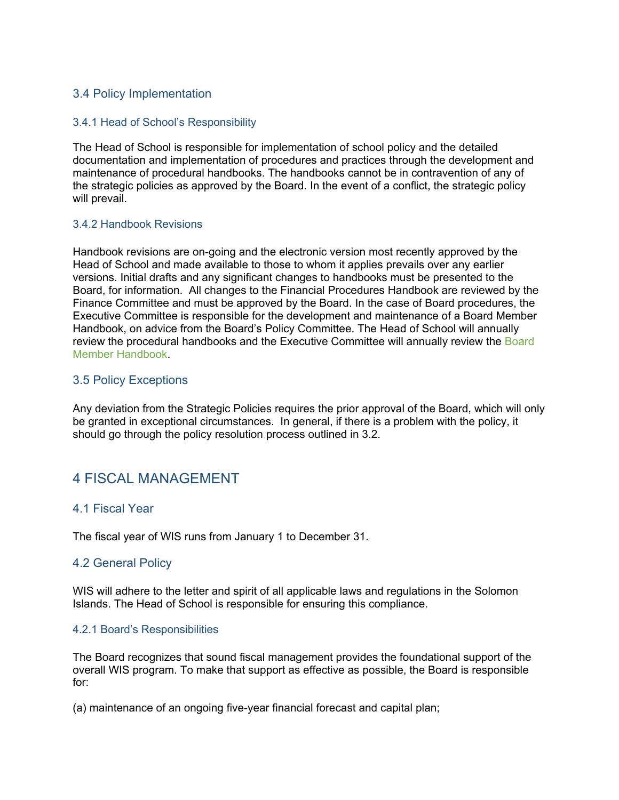# 3.4 Policy Implementation

#### 3.4.1 Head of School's Responsibility

The Head of School is responsible for implementation of school policy and the detailed documentation and implementation of procedures and practices through the development and maintenance of procedural handbooks. The handbooks cannot be in contravention of any of the strategic policies as approved by the Board. In the event of a conflict, the strategic policy will prevail.

#### 3.4.2 Handbook Revisions

Handbook revisions are on-going and the electronic version most recently approved by the Head of School and made available to those to whom it applies prevails over any earlier versions. Initial drafts and any significant changes to handbooks must be presented to the Board, for information. All changes to the Financial Procedures Handbook are reviewed by the Finance Committee and must be approved by the Board. In the case of Board procedures, the Executive Committee is responsible for the development and maintenance of a Board Member Handbook, on advice from the Board's Policy Committee. The Head of School will annually review the procedural handbooks and the Executive Committee will annually review the Board Member Handbook.

#### 3.5 Policy Exceptions

Any deviation from the Strategic Policies requires the prior approval of the Board, which will only be granted in exceptional circumstances. In general, if there is a problem with the policy, it should go through the policy resolution process outlined in 3.2.

# 4 FISCAL MANAGEMENT

#### 4.1 Fiscal Year

The fiscal year of WIS runs from January 1 to December 31.

#### 4.2 General Policy

WIS will adhere to the letter and spirit of all applicable laws and regulations in the Solomon Islands. The Head of School is responsible for ensuring this compliance.

#### 4.2.1 Board's Responsibilities

The Board recognizes that sound fiscal management provides the foundational support of the overall WIS program. To make that support as effective as possible, the Board is responsible for:

(a) maintenance of an ongoing five-year financial forecast and capital plan;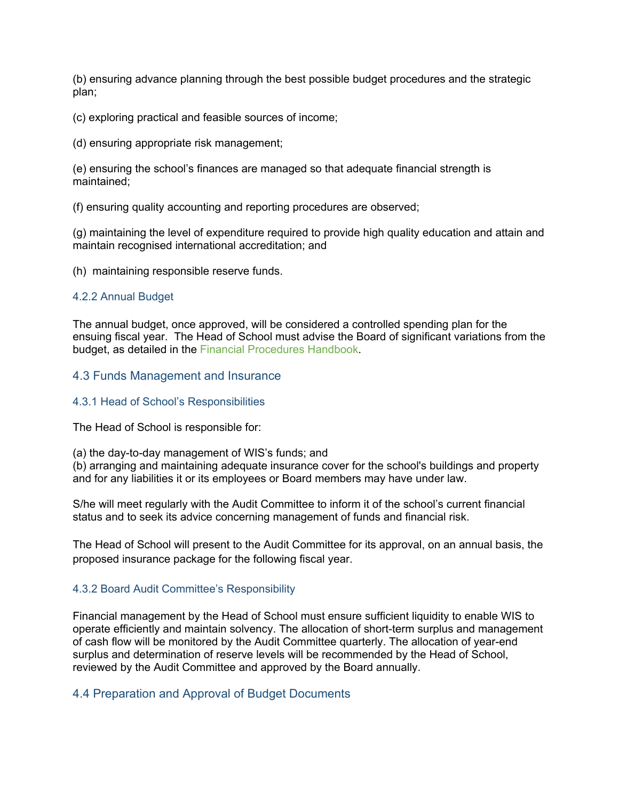(b) ensuring advance planning through the best possible budget procedures and the strategic plan;

(c) exploring practical and feasible sources of income;

(d) ensuring appropriate risk management;

(e) ensuring the school's finances are managed so that adequate financial strength is maintained;

(f) ensuring quality accounting and reporting procedures are observed;

(g) maintaining the level of expenditure required to provide high quality education and attain and maintain recognised international accreditation; and

(h) maintaining responsible reserve funds.

#### 4.2.2 Annual Budget

The annual budget, once approved, will be considered a controlled spending plan for the ensuing fiscal year. The Head of School must advise the Board of significant variations from the budget, as detailed in the Financial Procedures Handbook.

#### 4.3 Funds Management and Insurance

#### 4.3.1 Head of School's Responsibilities

The Head of School is responsible for:

(a) the day-to-day management of WIS's funds; and

(b) arranging and maintaining adequate insurance cover for the school's buildings and property and for any liabilities it or its employees or Board members may have under law.

S/he will meet regularly with the Audit Committee to inform it of the school's current financial status and to seek its advice concerning management of funds and financial risk.

The Head of School will present to the Audit Committee for its approval, on an annual basis, the proposed insurance package for the following fiscal year.

#### 4.3.2 Board Audit Committee's Responsibility

Financial management by the Head of School must ensure sufficient liquidity to enable WIS to operate efficiently and maintain solvency. The allocation of short-term surplus and management of cash flow will be monitored by the Audit Committee quarterly. The allocation of yearend surplus and determination of reserve levels will be recommended by the Head of School, reviewed by the Audit Committee and approved by the Board annually.

#### 4.4 Preparation and Approval of Budget Documents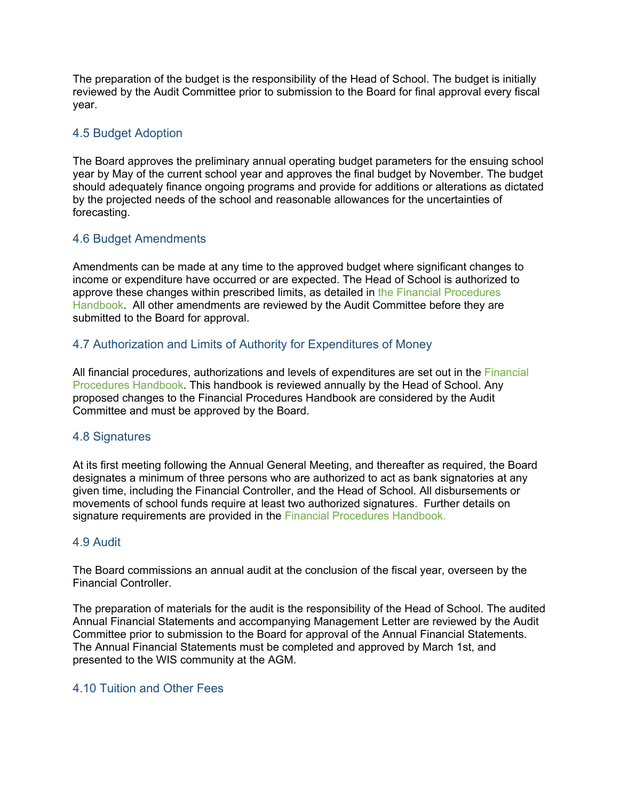The preparation of the budget is the responsibility of the Head of School. The budget is initially reviewed by the Audit Committee prior to submission to the Board for final approval every fiscal year.

# 4.5 Budget Adoption

The Board approves the preliminary annual operating budget parameters for the ensuing school year by May of the current school year and approves the final budget by November. The budget should adequately finance ongoing programs and provide for additions or alterations as dictated by the projected needs of the school and reasonable allowances for the uncertainties of forecasting.

# 4.6 Budget Amendments

Amendments can be made at any time to the approved budget where significant changes to income or expenditure have occurred or are expected. The Head of School is authorized to approve these changes within prescribed limits, as detailed in the Financial Procedures Handbook. All other amendments are reviewed by the Audit Committee before they are submitted to the Board for approval.

# 4.7 Authorization and Limits of Authority for Expenditures of Money

All financial procedures, authorizations and levels of expenditures are set out in the Financial Procedures Handbook. This handbook is reviewed annually by the Head of School. Any proposed changes to the Financial Procedures Handbook are considered by the Audit Committee and must be approved by the Board.

#### 4.8 Signatures

At its first meeting following the Annual General Meeting, and thereafter as required, the Board designates a minimum of three persons who are authorized to act as bank signatories at any given time, including the Financial Controller, and the Head of School. All disbursements or movements of school funds require at least two authorized signatures. Further details on signature requirements are provided in the Financial Procedures Handbook.

#### 4.9 Audit

The Board commissions an annual audit at the conclusion of the fiscal year, overseen by the Financial Controller.

The preparation of materials for the audit is the responsibility of the Head of School. The audited Annual Financial Statements and accompanying Management Letter are reviewed by the Audit Committee prior to submission to the Board for approval of the Annual Financial Statements. The Annual Financial Statements must be completed and approved by March 1st, and presented to the WIS community at the AGM.

### 4.10 Tuition and Other Fees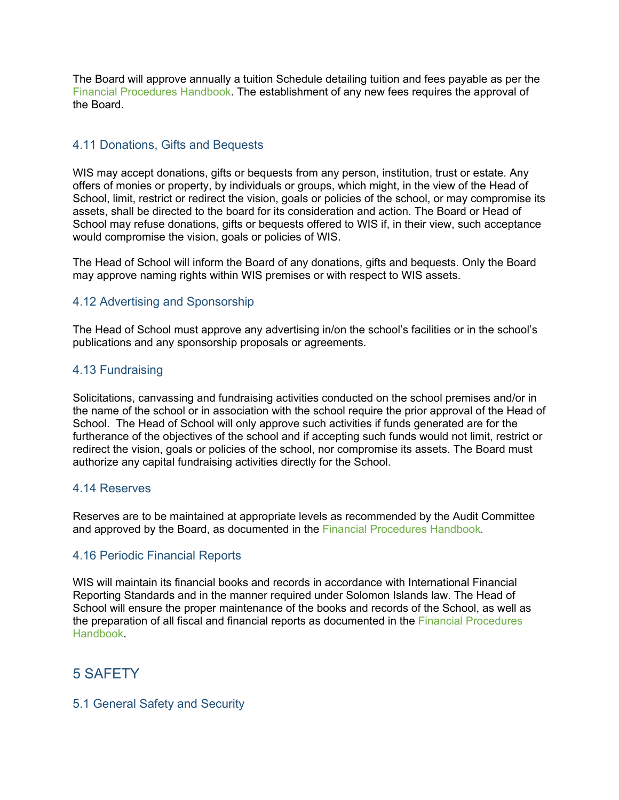The Board will approve annually a tuition Schedule detailing tuition and fees payable as per the Financial Procedures Handbook. The establishment of any new fees requires the approval of the Board.

# 4.11 Donations, Gifts and Bequests

WIS may accept donations, gifts or bequests from any person, institution, trust or estate. Any offers of monies or property, by individuals or groups, which might, in the view of the Head of School, limit, restrict or redirect the vision, goals or policies of the school, or may compromise its assets, shall be directed to the board for its consideration and action. The Board or Head of School may refuse donations, gifts or bequests offered to WIS if, in their view, such acceptance would compromise the vision, goals or policies of WIS.

The Head of School will inform the Board of any donations, gifts and bequests. Only the Board may approve naming rights within WIS premises or with respect to WIS assets.

#### 4.12 Advertising and Sponsorship

The Head of School must approve any advertising in/on the school's facilities or in the school's publications and any sponsorship proposals or agreements.

#### 4.13 Fundraising

Solicitations, canvassing and fundraising activities conducted on the school premises and/or in the name of the school or in association with the school require the prior approval of the Head of School. The Head of School will only approve such activities if funds generated are for the furtherance of the objectives of the school and if accepting such funds would not limit, restrict or redirect the vision, goals or policies of the school, nor compromise its assets. The Board must authorize any capital fundraising activities directly for the School.

#### 4.14 Reserves

Reserves are to be maintained at appropriate levels as recommended by the Audit Committee and approved by the Board, as documented in the Financial Procedures Handbook*.*

#### 4.16 Periodic Financial Reports

WIS will maintain its financial books and records in accordance with International Financial Reporting Standards and in the manner required under Solomon Islands law. The Head of School will ensure the proper maintenance of the books and records of the School, as well as the preparation of all fiscal and financial reports as documented in the Financial Procedures Handbook.

# 5 SAFETY

#### 5.1 General Safety and Security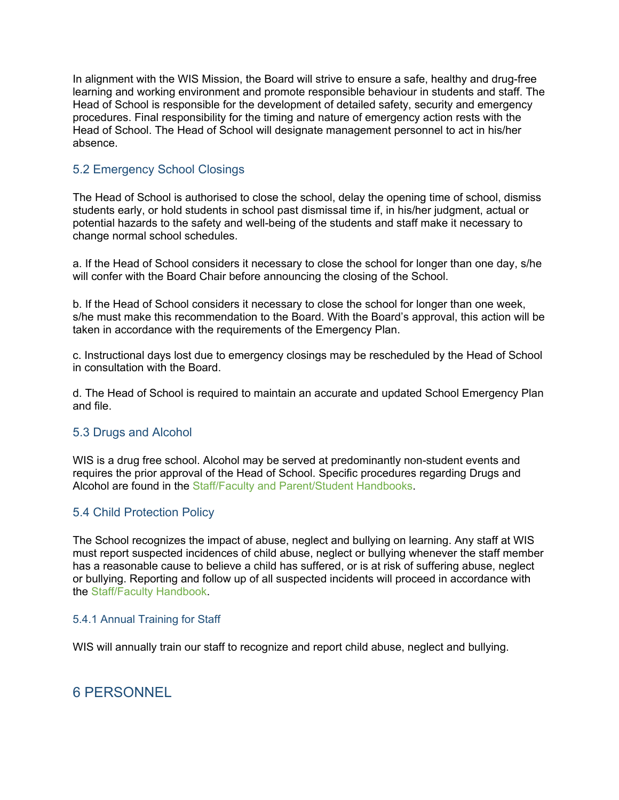In alignment with the WIS Mission, the Board will strive to ensure a safe, healthy and drug-free learning and working environment and promote responsible behaviour in students and staff. The Head of School is responsible for the development of detailed safety, security and emergency procedures. Final responsibility for the timing and nature of emergency action rests with the Head of School. The Head of School will designate management personnel to act in his/her absence.

# 5.2 Emergency School Closings

The Head of School is authorised to close the school, delay the opening time of school, dismiss students early, or hold students in school past dismissal time if, in his/her judgment, actual or potential hazards to the safety and well-being of the students and staff make it necessary to change normal school schedules.

a. If the Head of School considers it necessary to close the school for longer than one day, s/he will confer with the Board Chair before announcing the closing of the School.

b. If the Head of School considers it necessary to close the school for longer than one week, s/he must make this recommendation to the Board. With the Board's approval, this action will be taken in accordance with the requirements of the Emergency Plan.

c. Instructional days lost due to emergency closings may be rescheduled by the Head of School in consultation with the Board.

d. The Head of School is required to maintain an accurate and updated School Emergency Plan and file.

# 5.3 Drugs and Alcohol

WIS is a drug free school. Alcohol may be served at predominantly non-student events and requires the prior approval of the Head of School. Specific procedures regarding Drugs and Alcohol are found in the Staff/Faculty and Parent/Student Handbooks.

# 5.4 Child Protection Policy

The School recognizes the impact of abuse, neglect and bullying on learning. Any staff at WIS must report suspected incidences of child abuse, neglect or bullying whenever the staff member has a reasonable cause to believe a child has suffered, or is at risk of suffering abuse, neglect or bullying. Reporting and follow up of all suspected incidents will proceed in accordance with the Staff/Faculty Handbook.

#### 5.4.1 Annual Training for Staff

WIS will annually train our staff to recognize and report child abuse, neglect and bullying.

# 6 PERSONNEL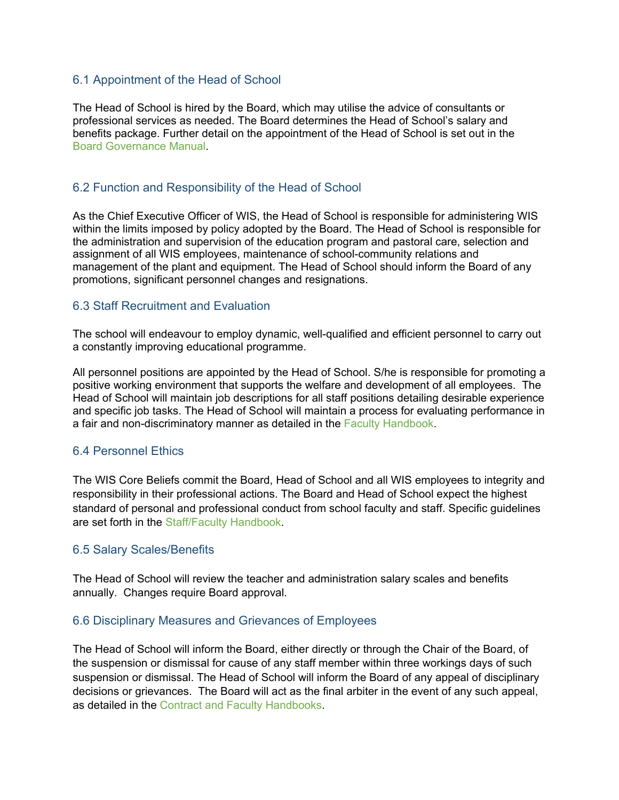# 6.1 Appointment of the Head of School

The Head of School is hired by the Board, which may utilise the advice of consultants or professional services as needed. The Board determines the Head of School's salary and benefits package. Further detail on the appointment of the Head of School is set out in the Board Governance Manual.

# 6.2 Function and Responsibility of the Head of School

As the Chief Executive Officer of WIS, the Head of School is responsible for administering WIS within the limits imposed by policy adopted by the Board. The Head of School is responsible for the administration and supervision of the education program and pastoral care, selection and assignment of all WIS employees, maintenance of school-community relations and management of the plant and equipment. The Head of School should inform the Board of any promotions, significant personnel changes and resignations.

#### 6.3 Staff Recruitment and Evaluation

The school will endeavour to employ dynamic, well-qualified and efficient personnel to carry out a constantly improving educational programme.

All personnel positions are appointed by the Head of School. S/he is responsible for promoting a positive working environment that supports the welfare and development of all employees. The Head of School will maintain job descriptions for all staff positions detailing desirable experience and specific job tasks. The Head of School will maintain a process for evaluating performance in a fair and non-discriminatory manner as detailed in the Faculty Handbook.

#### 6.4 Personnel Ethics

The WIS Core Beliefs commit the Board, Head of School and all WIS employees to integrity and responsibility in their professional actions. The Board and Head of School expect the highest standard of personal and professional conduct from school faculty and staff. Specific guidelines are set forth in the Staff/Faculty Handbook.

#### 6.5 Salary Scales/Benefits

The Head of School will review the teacher and administration salary scales and benefits annually. Changes require Board approval.

#### 6.6 Disciplinary Measures and Grievances of Employees

The Head of School will inform the Board, either directly or through the Chair of the Board, of the suspension or dismissal for cause of any staff member within three workings days of such suspension or dismissal. The Head of School will inform the Board of any appeal of disciplinary decisions or grievances. The Board will act as the final arbiter in the event of any such appeal, as detailed in the Contract and Faculty Handbooks.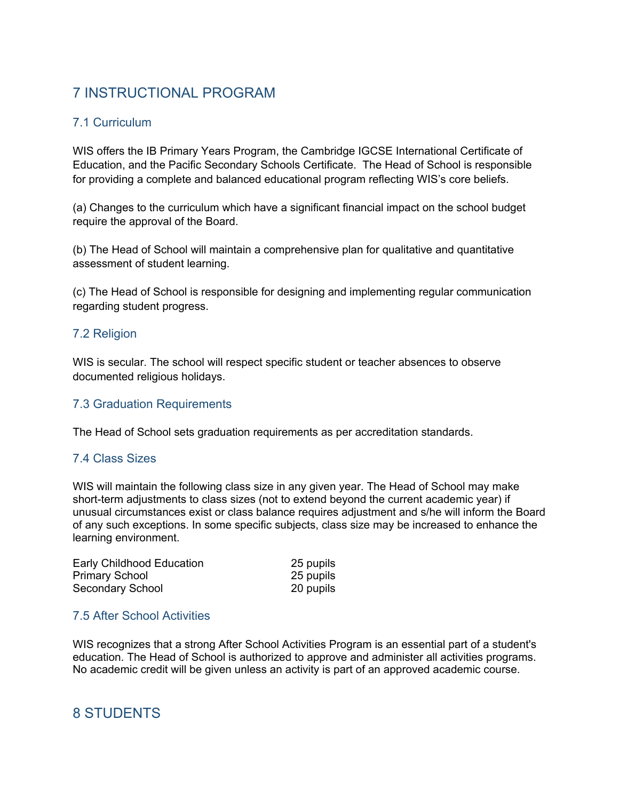# 7 INSTRUCTIONAL PROGRAM

# 7.1 Curriculum

WIS offers the IB Primary Years Program, the Cambridge IGCSE International Certificate of Education, and the Pacific Secondary Schools Certificate. The Head of School is responsible for providing a complete and balanced educational program reflecting WIS's core beliefs.

(a) Changes to the curriculum which have a significant financial impact on the school budget require the approval of the Board.

(b) The Head of School will maintain a comprehensive plan for qualitative and quantitative assessment of student learning.

(c) The Head of School is responsible for designing and implementing regular communication regarding student progress.

# 7.2 Religion

WIS is secular. The school will respect specific student or teacher absences to observe documented religious holidays.

# 7.3 Graduation Requirements

The Head of School sets graduation requirements as per accreditation standards.

# 7.4 Class Sizes

WIS will maintain the following class size in any given year. The Head of School may make short-term adjustments to class sizes (not to extend beyond the current academic year) if unusual circumstances exist or class balance requires adjustment and s/he will inform the Board of any such exceptions. In some specific subjects, class size may be increased to enhance the learning environment.

| Early Childhood Education | 25 pupils |
|---------------------------|-----------|
| <b>Primary School</b>     | 25 pupils |
| Secondary School          | 20 pupils |

# 7.5 After School Activities

WIS recognizes that a strong After School Activities Program is an essential part of a student's education. The Head of School is authorized to approve and administer all activities programs. No academic credit will be given unless an activity is part of an approved academic course.

# 8 STUDENTS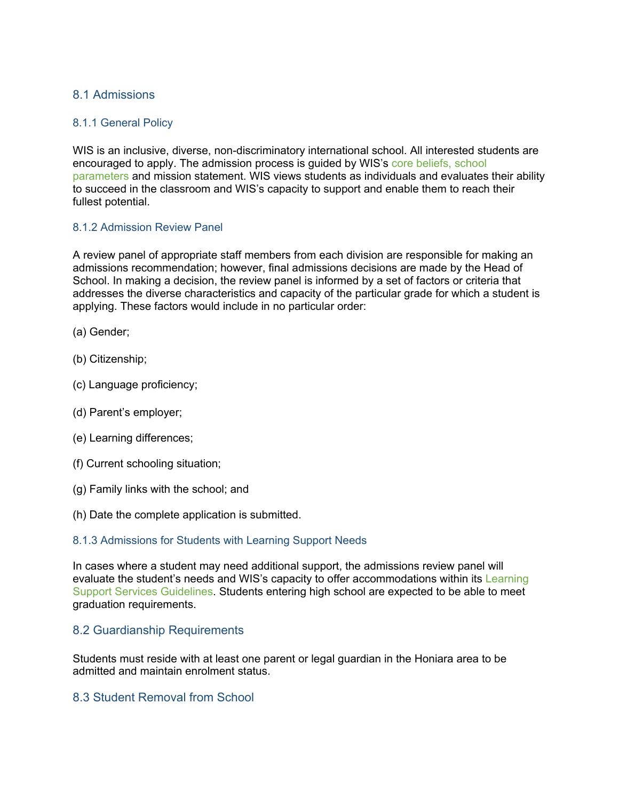# 8.1 Admissions

#### 8.1.1 General Policy

WIS is an inclusive, diverse, non-discriminatory international school. All interested students are encouraged to apply. The admission process is guided by WIS's core beliefs, school parameters and mission statement. WIS views students as individuals and evaluates their ability to succeed in the classroom and WIS's capacity to support and enable them to reach their fullest potential.

#### 8.1.2 Admission Review Panel

A review panel of appropriate staff members from each division are responsible for making an admissions recommendation; however, final admissions decisions are made by the Head of School. In making a decision, the review panel is informed by a set of factors or criteria that addresses the diverse characteristics and capacity of the particular grade for which a student is applying. These factors would include in no particular order:

- (a) Gender;
- (b) Citizenship;
- (c) Language proficiency;
- (d) Parent's employer;
- (e) Learning differences;
- (f) Current schooling situation;
- (g) Family links with the school; and
- (h) Date the complete application is submitted.

#### 8.1.3 Admissions for Students with Learning Support Needs

In cases where a student may need additional support, the admissions review panel will evaluate the student's needs and WIS's capacity to offer accommodations within its Learning Support Services Guidelines. Students entering high school are expected to be able to meet graduation requirements.

#### 8.2 Guardianship Requirements

Students must reside with at least one parent or legal guardian in the Honiara area to be admitted and maintain enrolment status.

# 8.3 Student Removal from School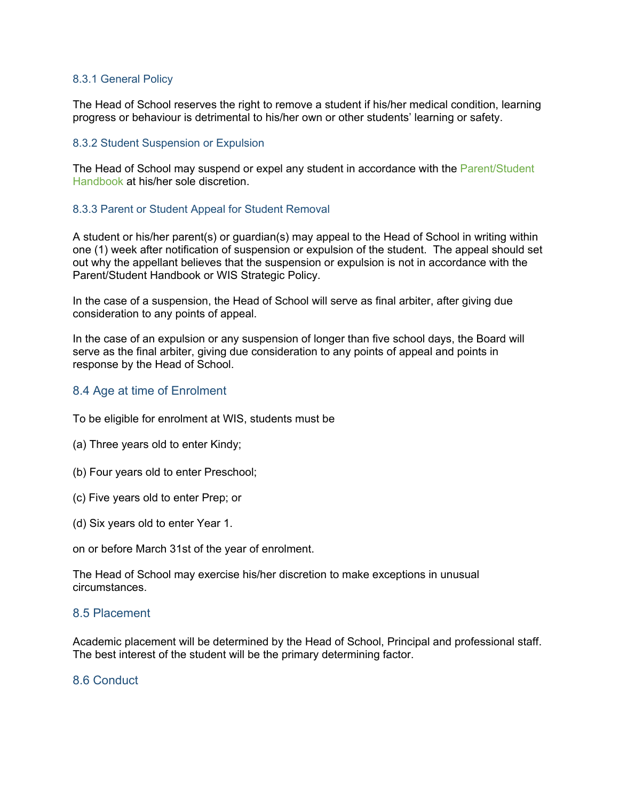#### 8.3.1 General Policy

The Head of School reserves the right to remove a student if his/her medical condition, learning progress or behaviour is detrimental to his/her own or other students' learning or safety.

#### 8.3.2 Student Suspension or Expulsion

The Head of School may suspend or expel any student in accordance with the Parent/Student Handbook at his/her sole discretion.

#### 8.3.3 Parent or Student Appeal for Student Removal

A student or his/her parent(s) or guardian(s) may appeal to the Head of School in writing within one (1) week after notification of suspension or expulsion of the student. The appeal should set out why the appellant believes that the suspension or expulsion is not in accordance with the Parent/Student Handbook or WIS Strategic Policy.

In the case of a suspension, the Head of School will serve as final arbiter, after giving due consideration to any points of appeal.

In the case of an expulsion or any suspension of longer than five school days, the Board will serve as the final arbiter, giving due consideration to any points of appeal and points in response by the Head of School.

#### 8.4 Age at time of Enrolment

To be eligible for enrolment at WIS, students must be

- (a) Three years old to enter Kindy;
- (b) Four years old to enter Preschool;
- (c) Five years old to enter Prep; or
- (d) Six years old to enter Year 1.

on or before March 31st of the year of enrolment.

The Head of School may exercise his/her discretion to make exceptions in unusual circumstances.

#### 8.5 Placement

Academic placement will be determined by the Head of School, Principal and professional staff. The best interest of the student will be the primary determining factor.

#### 8.6 Conduct